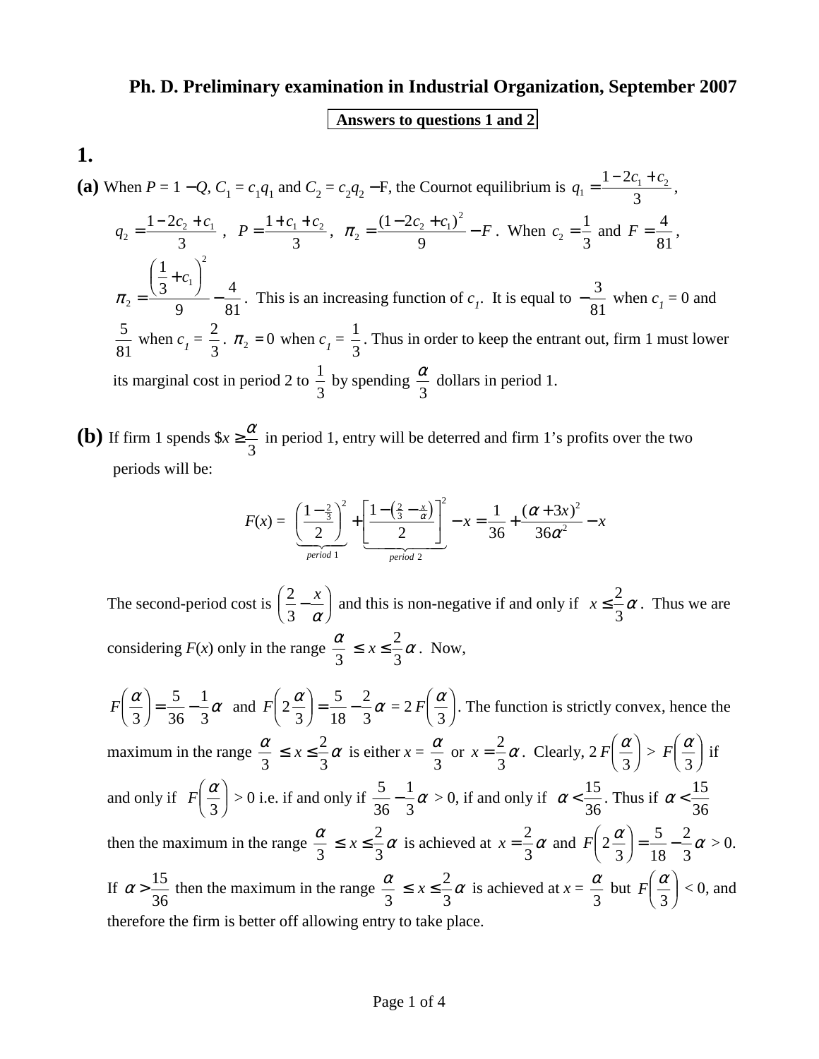## **Ph. D. Preliminary examination in Industrial Organization, September 2007**

## **Answers to questions 1 and 2**

**1.** 

**(a)** When  $P = 1 - Q$ ,  $C_1 = c_1 q_1$  and  $C_2 = c_2 q_2 - F$ , the Cournot equilibrium is  $q_1 = \frac{1 - 2c_1 + c_2}{3}$  $c_1 = \frac{1-2c_1+c_2}{2}$ 3  $=\frac{1-2c_1+c_2}{2}$ ,  $q_2 = \frac{1-2c_2+c_1}{2}$  $c_2 = \frac{1 - 2c_2 + c_1}{2}$ 3  $=\frac{1-2c_2+c_1}{2}$ ,  $P=\frac{1+c_1+c_2}{2}$ 3  $\frac{1 + c_2}{2}, \ \pi_2 = \frac{(1 - 2c_2 + c_1)}{2}$  $1 - 2c_2 + c_1^2$ 9  $=\frac{(1-2c_2+c_1)^2}{6}$  – F. When  $c_2=\frac{1}{2}$ 3  $=\frac{1}{2}$  and  $F=\frac{4}{3}$ 81 ,  $\pi_{_2}$ 1  $1\quad$ 3 9 4 81 = +  $\overline{f}$  $\bigg($  $\sqrt{\frac{1}{1}}$  $\bigg)$ K  $\setminus$ − *c* . This is an increasing function of  $c_1$ . It is equal to  $-\frac{3}{81}$ 81 when  $c_1 = 0$  and 5 81 when  $c_1 = \frac{2}{3}$  $\frac{2}{3}$ .  $\pi_2 = 0$  when  $c_1 = \frac{1}{3}$ 3 . Thus in order to keep the entrant out, firm 1 must lower its marginal cost in period 2 to  $\frac{1}{2}$ 3 by spending  $\frac{\alpha}{2}$ 3 dollars in period 1.

**(b)** If firm 1 spends  $x \geq \frac{\alpha}{2}$ 3 in period 1, entry will be deterred and firm 1's profits over the two periods will be:

$$
F(x) = \left(\frac{1-\frac{2}{3}}{2}\right)^2 + \left[\frac{1-\left(\frac{2}{3}-\frac{x}{\alpha}\right)}{2}\right]^2 - x = \frac{1}{36} + \frac{(\alpha+3x)^2}{36\alpha^2} - x
$$

The second-period cost is  $\left(\frac{2}{3}\right)$ 3 − *x*  $\overline{f}$  $\bigg($  $\sqrt{\frac{1}{2}}$  $\bigg)$ K  $\setminus$  $\left(\frac{x}{\alpha}\right)$  and this is non-negative if and only if  $x \leq \frac{2}{3}$ 3  $\alpha$ . Thus we are considering  $F(x)$  only in the range  $\frac{\alpha}{2}$ 3  $\leq x \leq \frac{2}{3}$ 3  $\alpha$ . Now,

 $F\left(\frac{\alpha}{3}\right) = \frac{5}{36} - \frac{1}{3}\alpha$ 5 36 1  $\left(-\frac{5}{36} - \frac{1}{3}\alpha \text{ and } F\left(2\frac{\alpha}{3}\right)\right)$  $\overline{f}$  $\bigg($  $\sqrt{\frac{1}{2}}$  $\sum_{i=1}^{n}$  $\overline{\phantom{a}}$ 5 18 2 3  $\left(\frac{\alpha}{2}\right) = \frac{5}{18} - \frac{2}{3} \alpha = 2 F \left(\frac{\alpha}{2}\right)$  $\overline{f}$  $\overline{\phantom{a}}$  $\sqrt{\frac{1}{2}}$  $\sum_{i=1}^{n}$ .<br>J  $\left(\frac{\alpha}{3}\right)$ . The function is strictly convex, hence the  $\overline{f}$  $\Big($  $\sqrt{\frac{1}{1}}$  $\sum_{i=1}^{n}$ .<br>J maximum in the range  $\frac{\alpha}{2}$ 3  $\leq x \leq \frac{2}{3}$ 3  $\alpha$  is either  $x = \frac{\alpha}{2}$ 3 or  $x = \frac{2}{3}$ 3  $\alpha$ . Clearly,  $2 F \frac{\alpha}{2}$  $\left(\frac{\alpha}{3}\right) > F\left(\frac{\alpha}{3}\right)$  $\overline{f}$  $\bigg($  $\sqrt{\frac{1}{2}}$  $\sum_{i=1}^{n}$ .<br>J  $\left(\frac{\alpha}{3}\right)$  if  $\overline{f}$  $\big($  $\int$  $\bigg)$ .<br>J and only if  $F\left(\frac{\alpha}{2}\right)$  $\left(\frac{\alpha}{3}\right) > 0$  i.e. if and only if  $\frac{5}{36}$  $\overline{f}$  $\overline{\phantom{a}}$  $\sqrt{\frac{1}{2}}$  $\overline{\phantom{0}}$ .<br>J 1 3  $-\frac{1}{2}\alpha > 0$ , if and only if  $\alpha < \frac{15}{25}$ 36 . Thus if  $\alpha < \frac{15}{25}$ 36 then the maximum in the range  $\frac{\alpha}{2}$ 3  $\leq x \leq \frac{2}{3}$ 3  $\alpha$  is achieved at  $x = \frac{2}{3}$ 3  $\alpha$  and  $F|2$ 3 5 18 2 3  $\frac{\alpha}{2} = \frac{5}{18} - \frac{2}{2} \alpha > 0.$  $\frac{1}{2}$  $\bigg($  $\sqrt{\frac{1}{2}}$  $\overline{\phantom{0}}$  $\frac{1}{2}$ If  $\alpha > \frac{15}{36}$ 36 then the maximum in the range  $\frac{\alpha}{2}$ 3  $\leq x \leq \frac{2}{3}$ 3  $\alpha$  is achieved at  $x = \frac{\alpha}{2}$ 3 but  $F\left(\frac{\alpha}{2}\right)$  $\left(\frac{\alpha}{3}\right)$  < 0, and  $\frac{1}{\sqrt{2}}$  $\overline{\mathcal{L}}$  $\sqrt{\frac{1}{2}}$  $\sum_{i=1}^{n}$ .<br>J therefore the firm is better off allowing entry to take place.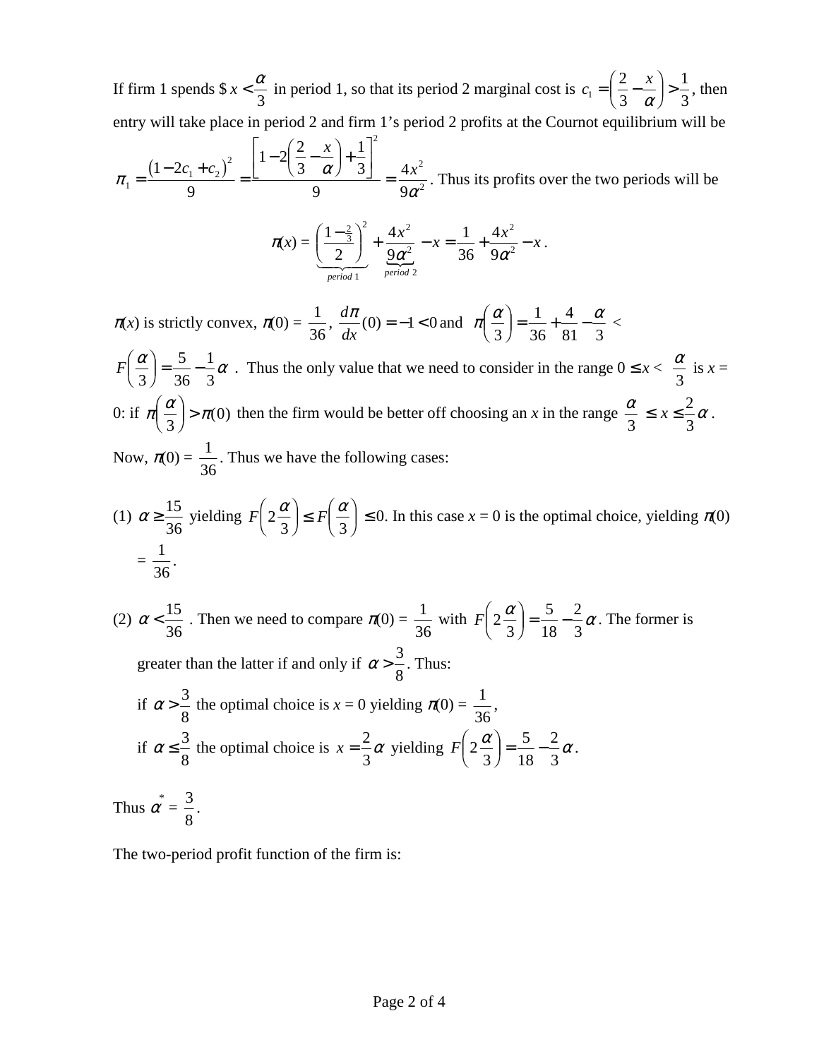If firm 1 spends  $x < \frac{\alpha}{2}$ 3 in period 1, so that its period 2 marginal cost is  $c_1 = \left(\frac{2}{3} - \frac{x}{x}\right)$ 1 2 3 1 3  $=\left(\frac{2}{3}-\frac{x}{\alpha}\right)>\frac{1}{3}$ , then  $\overline{f}$  $\bigg($  $\int$  $\bigg)$ .<br>J entry will take place in period 2 and firm 1's period 2 profits at the Cournot equilibrium will be

$$
\pi_1 = \frac{\left(1 - 2c_1 + c_2\right)^2}{9} = \frac{\left[1 - 2\left(\frac{2}{3} - \frac{x}{\alpha}\right) + \frac{1}{3}\right]^2}{9} = \frac{4x^2}{9\alpha^2}.
$$
 Thus its profits over the two periods will be

$$
\pi(x) = \left(\frac{1-\frac{2}{3}}{2}\right)^2 + \frac{4x^2}{9\alpha^2} - x = \frac{1}{36} + \frac{4x^2}{9\alpha^2} - x.
$$

 $\pi(x)$  is strictly convex,  $\pi(0) = \frac{1}{2}$ 36 , *d dx*  $\pi(\pi(0)) = -1 < 0$  and  $\pi\left(\frac{\alpha}{2}\right) = \frac{1}{2} + \frac{4}{2} - \frac{\alpha}{2}$ 3 1 36 4  $\left(-\frac{1}{36} + \frac{4}{81} - \frac{\alpha}{3}\right)$  $\int$  $\big($  $\int$  $\sum_{i=1}^{n}$ .<br>J

 $F\left(\frac{\alpha}{3}\right) = \frac{5}{36} - \frac{1}{3}\alpha$ 5 36 1  $\left(-\frac{5}{36} - \frac{1}{3}\alpha\right)$ . Thus the only value that we need to consider in the range  $0 \le x < \frac{\alpha}{3}$  $\overline{f}$  $\bigg($  $\sqrt{\frac{1}{2}}$  $\bigg)$ .<br>J 3 is  $x =$ 0: if  $\pi\left(\frac{\alpha}{3}\right) > \pi$  $\Rightarrow$   $\pi$ (0) then the firm would be better off choosing an *x* in the range  $\frac{\alpha}{3}$  $\overline{f}$  $\bigg($  $\int$ J<br>N  $\frac{1}{2}$  $\leq x \leq \frac{2}{3}$ 3  $\alpha$  . Now,  $\pi(0) = \frac{1}{2}$ 36 . Thus we have the following cases:

(1) 
$$
\alpha \ge \frac{15}{36}
$$
 yielding  $F\left(2\frac{\alpha}{3}\right) \le F\left(\frac{\alpha}{3}\right) \le 0$ . In this case  $x = 0$  is the optimal choice, yielding  $\pi(0) = \frac{1}{36}$ .

(2) 
$$
\alpha < \frac{15}{36}
$$
. Then we need to compare  $\pi(0) = \frac{1}{36}$  with  $F\left(2\frac{\alpha}{3}\right) = \frac{5}{18} - \frac{2}{3}\alpha$ . The former is  
greater than the latter if and only if  $\alpha > \frac{3}{8}$ . Thus:  
if  $\alpha > \frac{3}{8}$  the optimal choice is  $x = 0$  yielding  $\pi(0) = \frac{1}{36}$ ,  
if  $\alpha \le \frac{3}{8}$  the optimal choice is  $x = \frac{2}{3}\alpha$  yielding  $F\left(2\frac{\alpha}{3}\right) = \frac{5}{18} - \frac{2}{3}\alpha$ .  
Thus  $\alpha^* = \frac{3}{8}$ .

The two-period profit function of the firm is: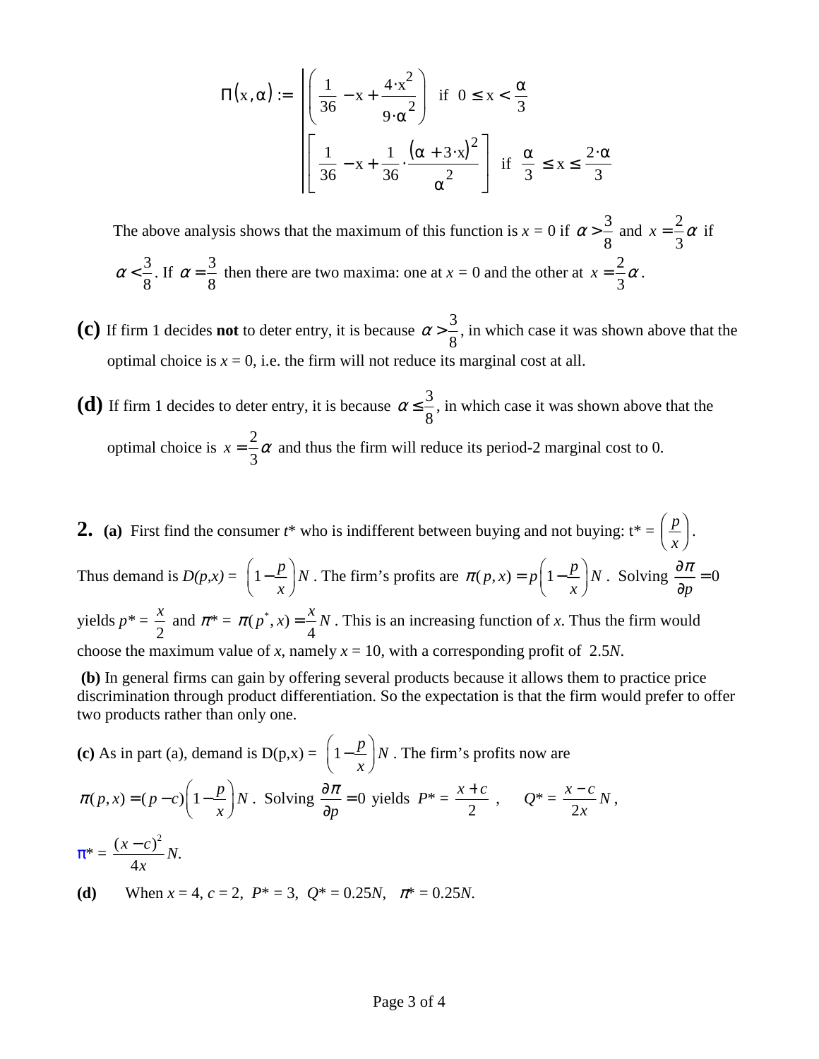$$
\Pi(x, \alpha) := \sqrt{\left(\frac{1}{36} - x + \frac{4 \cdot x^2}{9 \cdot \alpha^2}\right)} \quad \text{if} \quad 0 \le x < \frac{\alpha}{3}
$$
\n
$$
\left[\frac{1}{36} - x + \frac{1}{36} \cdot \frac{(\alpha + 3 \cdot x)^2}{\alpha^2}\right] \quad \text{if} \quad \frac{\alpha}{3} \le x \le \frac{2 \cdot \alpha}{3}
$$

The above analysis shows that the maximum of this function is  $x = 0$  if  $\alpha > \frac{3}{8}$ 8 and  $x = \frac{2}{3}$ 3  $\alpha$  if  $\alpha < \frac{3}{3}$ 8 . If  $\alpha = \frac{3}{2}$ 8 then there are two maxima: one at  $x = 0$  and the other at  $x = \frac{2}{3}$ 3  $\alpha$  .

- **(c)** If firm 1 decides **not** to deter entry, it is because  $\alpha > \frac{3}{8}$ 8 , in which case it was shown above that the optimal choice is  $x = 0$ , i.e. the firm will not reduce its marginal cost at all.
- **(d)** If firm 1 decides to deter entry, it is because  $\alpha \leq \frac{3}{8}$ 8 , in which case it was shown above that the optimal choice is  $x = \frac{2}{3}$ 3  $\alpha$  and thus the firm will reduce its period-2 marginal cost to 0.
- **2.** (a) First find the consumer  $t^*$  who is indifferent between buying and not buying:  $t^* = \frac{p}{t}$  $\frac{p}{x}$ .  $\overline{f}$  $\overline{\phantom{a}}$  $\sqrt{\frac{1}{2}}$  $\bigg)$ K Thus demand is  $D(p,x) = \left(1 - \frac{p}{p}\right)N$  $\left(1 - \frac{p}{x}\right)N$ . The firm's profits are  $\pi(p, x) = p\left(1 - \frac{p}{x}\right)N$  $\pi(p, x) = p\left(1 - \frac{p}{x}\right)$  $= p \left(1 - \frac{p}{x}\right) N$ . Solving  $\frac{\partial n}{\partial p} = 0$  $rac{\partial \pi}{\partial \overline{\theta}} =$ ∂ yields  $p^* =$ 2  $\frac{x}{2}$  and  $\pi^* = \pi(p^*, x)$ 4  $\pi(p^*, x) = \frac{x}{l}N$ . This is an increasing function of *x*. Thus the firm would choose the maximum value of *x*, namely  $x = 10$ , with a corresponding profit of 2.5*N*.

 **(b)** In general firms can gain by offering several products because it allows them to practice price discrimination through product differentiation. So the expectation is that the firm would prefer to offer two products rather than only one.

(c) As in part (a), demand is 
$$
D(p,x) = \left(1 - \frac{p}{x}\right)N
$$
. The firm's profits now are  
\n
$$
\pi(p,x) = (p-c)\left(1 - \frac{p}{x}\right)N
$$
. Solving  $\frac{\partial \pi}{\partial p} = 0$  yields  $P^* = \frac{x+c}{2}$ ,  $Q^* = \frac{x-c}{2x}N$ ,  
\n
$$
\pi^* = \frac{(x-c)^2}{4x}N.
$$
\n(d) When  $x = 4$ ,  $c = 2$ ,  $P^* = 3$ ,  $Q^* = 0.25N$ ,  $\pi^* = 0.25N$ .